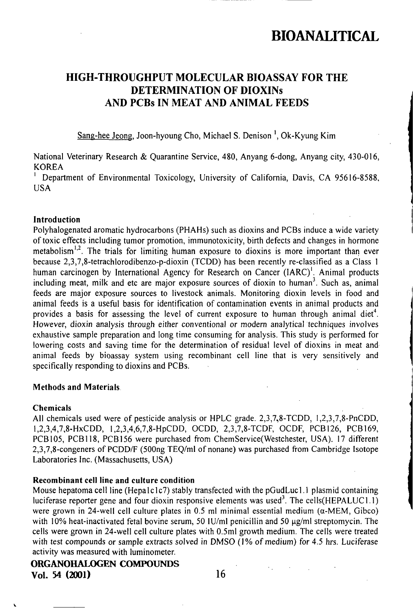## HIGH-THROUGHPUT MOLECULAR BIOASSAY FOR THE DETERMINATION OF DIOXINs AND PCBs IN MEAT AND ANIMAL FEEDS

Sang-hee Jeong. Joon-hyoung Cho, Michael S. Denison ', Ok-Kyung Kim

National Veterinary Research & Quarantine Service, 480, Anyang 6-dong, Anyang city, 430-016, KOREA

Department of Environmental Toxicology, University of California, Davis, CA 95616-8588, USA

### Introduction

Polyhalogenated aromatic hydrocarbons (PHAHs) such as dioxins and PCBs induce a wide variety of toxic effects including tumor promotion, immunotoxicity, birth defects and changes in hormone metabolism<sup>1,2</sup>. The trials for limiting human exposure to dioxins is more important than ever because 2,3,7,8-letrachlorodibenzo-p-dioxin (TCDD) has been recently re-classified as a Class 1 human carcinogen by International Agency for Research on Cancer (IARC)<sup>1</sup>. Animal products including meat, milk and etc are major exposure sources of dioxin to human<sup>3</sup>. Such as, animal feeds are major exposure sources to livestock animals. Monitoring dioxin levels in food and animal feeds is a useful basis for identification of contamination events in animal products and provides a basis for assessing the level of current exposure to human through animal diet<sup>4</sup>. However, dioxin analysis through either conventional or modem analytical techniques involves exhaustive sample preparation and long time consuming for analysis. This study is performed for lowering costs and saving time for the determination of residual level of dioxins in meat and animal feeds by bioassay system using recombinant cell line that is very sensitively and specifically responding to dioxins and PCBs.

### Methods and Materials

#### Chemicals

All chemicals used were of pesticide analysis or HPLC grade. 2,3,7,8-TCDD, 1,2,3,7,8-PnCDD, 1,2,3,4,7,8-HxCDD, 1,2,3,4,6,7,8-HpCDD, OCDD, 2,3,7,8-TCDF, OCDF, PCB126, PCB169, PCB105, PCB118, PCB156 were purchased from ChemService(Westchester, USA). 17 different 2,3,7,8-congeners of PCDD/F (500ng TEQ/ml of nonane) was purchased from Cambridge Isotope Laboratories Inc. (Massachusetts, USA)

## Recombinant cell line and culture condition

Mouse hepatoma cell line (Hepalclc7) stably transfected with the pGudLucl. I plasmid containing luciferase reporter gene and four dioxin responsive elements was used<sup>3</sup>. The cells(HEPALUC1.1) were grown in 24-well cell culture plates in 0.5 ml minimal essential medium  $(\alpha$ -MEM, Gibco) with 10% heat-inactivated fetal bovine serum, 50 IU/ml penicillin and 50  $\mu$ g/ml streptomycin. The cells were grown in 24-well cell culture plales with 0.5ml growth medium. The cells were treated with test compounds or sample extracts solved in DMSO (1% of medium) for 4.5 hrs. Luciferase activity was measured with luminometer.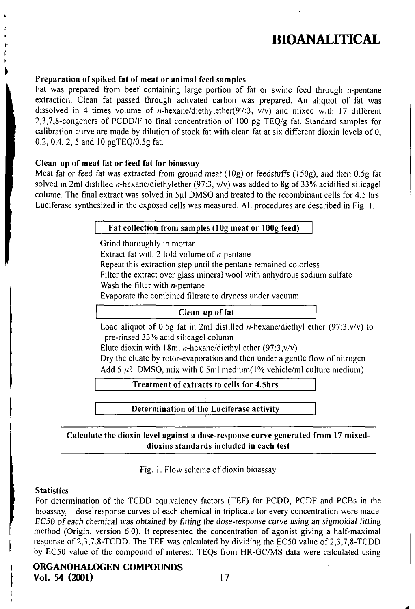## Preparation of spiked fat of meat or animal feed samples

Fal was prepared from beef containing large portion of fat or swine feed ihrough n-pentane extraction. Clean fat passed through activated carbon was prepared. An aliquot of fal was dissolved in 4 times volume of  $n$ -hexane/diethylether(97:3, v/v) and mixed with 17 different 2,3,7,8-congeners of PCDD/F lo final concentration of 100 pg TEQ/g fal. Standard samples for calibration curve are made by dilution of stock fat with clean fat at six different dioxin levels of 0, 0.2, 0.4, 2, 5 and 10 pgTEQ/0.5g fat.

### Clean-up of meat fat or feed fat for bioassay

Meat fat or feed fat was extracted from ground meat (10g) or feedstuffs (150g), and then 0.5g fat solved in 2ml distilled *n*-hexane/diethylether (97:3,  $v/v$ ) was added to 8g of 33% acidified silicagel colume. The final extract was solved in  $5\mu$  DMSO and treated to the recombinant cells for 4.5 hrs. Luciferase synthesized in the exposed cells was measured. All procedures are described in Fig. 1.

#### Fat collection from samples (10g meat or 100g feed)

Grind thoroughly in mortar Extract fat with 2 fold volume of  $n$ -pentane Repeat this extraction step until the pentane remained colorless Filter the extract over glass mineral wool with anhydrous sodium sulfate Wash the filter with  $n$ -pentane

Evaporate the combined filtrate to dryness under vacuum

#### Clean-up of fat

Load aliquot of 0.5g fat in 2ml distilled *n*-hexane/diethyl ether (97:3,v/v) to pre-rinsed 33% acid silicagel column

Elute dioxin with 18ml *n*-hexane/diethyl ether (97:3,v/v)

Dry the eluate by rotor-evaporation and then under a gentle flow of nitrogen Add 5  $\mu$  DMSO, mix with 0.5ml medium(1% vehicle/ml culture medium)



Calculate the dioxin level against a dose-response curve generated from 17 mixeddioxins standards included in each test

Fig. 1. Flow scheme of dioxin bioassay

## **Statistics**

For determination of the TCDD equivalency factors (TEF) for PCDD, PCDF and PCBs in the bioassay, dose-response curves of each chemical in triplicate for every concentration were made. EC50 of each chemical was obtained by fitting the dose-response curve using an sigmoidal fitting method (Origin, version 6.0). It represenled the concentration of agonist giving a half-maximal response of 2,3,7,8-TCDD. The TEF was calculated by dividing the EC50 value of 2,3,7,8-TCDD by EC50 value of the compound of interest. TEQs from HR-GC/MS data were calculated using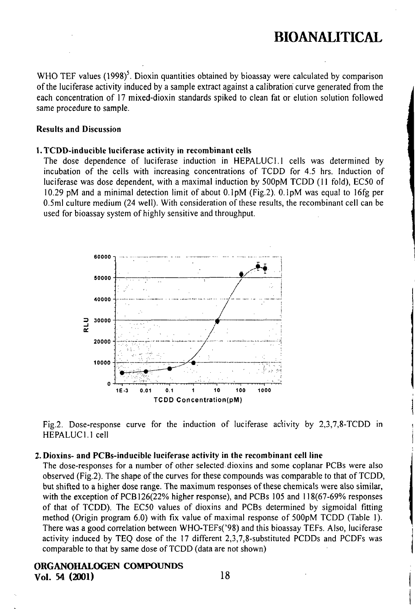WHO TEF values  $(1998)^5$ . Dioxin quantities obtained by bioassay were calculated by comparison ofthe luciferase activity induced by a sample extract againsi a calibration curve generated from lhe each concentration of 17 mixed-dioxin standards spiked to clean fat or elution solution followed same procedure to sample.

#### Results and Discussion

#### 1. TCDD-inducible luciferase activity in recombinant cells

The dose dependence of luciferase induction in HEPALUCl.l cells was determined by incubation of the cells with increasing concentrations of TCDD for 4.5 hrs. Induction of luciferase was dose dependent, with a maximal induction by 500pM TCDD (11 fold), EC50 of 10.29 pM and a minimal detection limit of about  $0.1<sub>p</sub>M$  (Fig.2).  $0.1<sub>p</sub>M$  was equal to 16fg per 0.5ml cullure medium (24 well). Wilh consideration of these resulls, the recombinant cell can be used for bioassay system of highly sensitive and throughput.



Fig.2. Dose-response curve for the induction of luciferase activity by 2,3,7,8-TCDD in HEPALUCl.l cell

#### .Dioxins- and FCBs-inducible luciferase activity in the recombinant cell line

The dose-responses for a number of olher selected dioxins and some coplanar PCBs were also observed (Fig.2). The shape of the curves for these compounds was comparable to that of TCDD, but shifted to a higher dose range. The maximum responses of these chemicals were also similar, with the exception of PCB126(22% higher response), and PCBs 105 and 118(67-69% responses of that of TCDD). The EC50 values of dioxins and PCBs determined by sigmoidal fitting method (Origin program 6.0) with fix value of maximal response of 500pM TCDD (Table 1). There was a good correlation between WHO-TEFs('98) and this bioassay TEFs. Also, luciferase activity induced by TEQ dose of the  $17$  different  $2,3,7,8$ -substituted PCDDs and PCDFs was comparable to that by same dose of TCDD (data are not shown)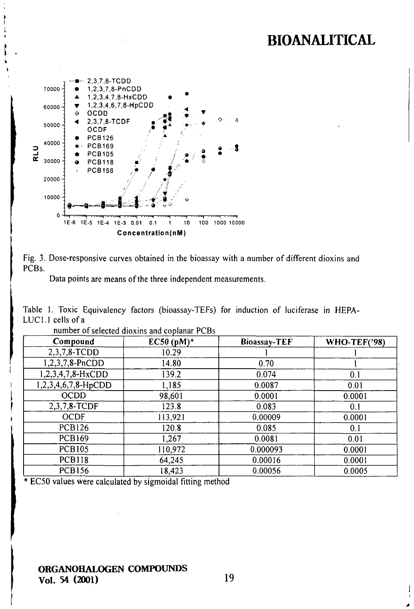



Data points are means of the three independent measurements.

Table 1. Toxic Equivalency factors (bioassay-TEFs) for induction of luciferase in HEPA-LUC1.1 cells of a

| Compound            | EC50 $(pM)^*$ | <b>Bioassay-TEF</b> | <b>WHO-TEF('98)</b> |
|---------------------|---------------|---------------------|---------------------|
| 2,3,7,8-TCDD        | 10.29         |                     |                     |
| 1,2,3,7,8-PnCDD     | 14.80         | 0.70                |                     |
| 1,2,3,4,7,8-HxCDD   | 139.2         | 0.074               | 0.1                 |
| 1,2,3,4,6,7,8-HpCDD | 1,185         | 0.0087              | 0.01                |
| <b>OCDD</b>         | 98,601        | 0.0001              | 0.0001              |
| 2,3,7,8-TCDF        | 123.8         | 0.083               | 0.1                 |
| <b>OCDF</b>         | 113,921       | 0.00009             | 0.0001              |
| <b>PCB126</b>       | 120.8         | 0.085               | 0.1                 |
| <b>PCB169</b>       | 1,267         | 0.0081              | 0.01                |
| <b>PCB105</b>       | 110,972       | 0.000093            | 0.0001              |
| <b>PCB118</b>       | 64,245        | 0.00016             | 0.0001              |
| <b>PCB156</b>       | 18,423        | 0.00056             | 0.0005              |

number of selected dioxins and coplanar PCBs

\* EC50 values were calculated by sigmoidal fitting method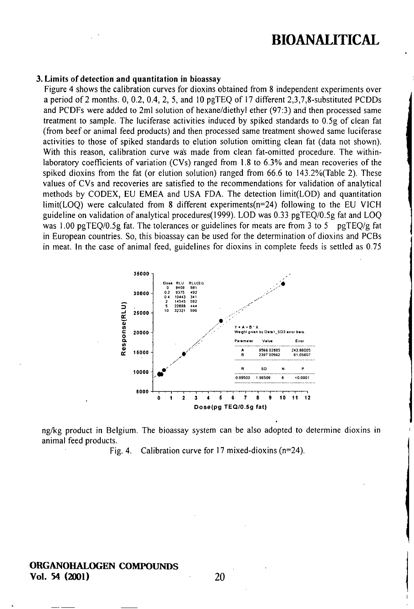#### 3. Limits of detection and quantitation in bioassay

Figure 4 shows the calibration curves for dioxins obtained from 8 independent experiments over a period of 2 months. 0, 0.2, 0.4, 2, 5, and 10 pgTEQ of 17 differeni 2,3,7,8-subslituled PCDDs and PCDFs were added to 2ml solution of hexane/diethyl ether (97:3) and then processed same treatment to sample. The luciferase activities induced by spiked standards to  $0.5g$  of clean fat (from beef or animal feed producis) and then processed same trealmeni showed same luciferase activities to those of spiked standards to elution solution omitting clean fat (data not shown). With this reason, calibration curve wa's made from clean fat-omitted procedure. The withinlaboratory coefficients of variation (CVs) ranged from 1.8 to 6.3% and mean recoveries ofthe spiked dioxins from the fat (or elution solution) ranged from  $66.6$  to  $143.2\%$  (Table 2). These values of CVs and recoveries are satisfied to the recommendations for validation of analytical methods by CODEX, EU EMEA and USA FDA. The detection limit(LOD) and quantitation  $limit(LOO)$  were calculated from 8 different experiments( $n=24$ ) following to the EU VICH guideline on validation of analytical procedures(1999). LOD was 0.33 pgTEQ/0.5g fat and LOQ was 1.00 pgTEQ/0.5g fat. The tolerances or guidelines for meats are from 3 to 5 pgTEQ/g fat in European counlries. So, this bioassay can be used for the determination of dioxins and PCBs in meat. In the case of animal feed, guidelines for dioxins in complete feeds is settled as  $0.75$ 



ng/kg product in Belgium. The bioassay system can be also adopted to determine dioxins in animal feed products.

Fig. 4. Calibration curve for 17 mixed-dioxins ( $n=24$ ).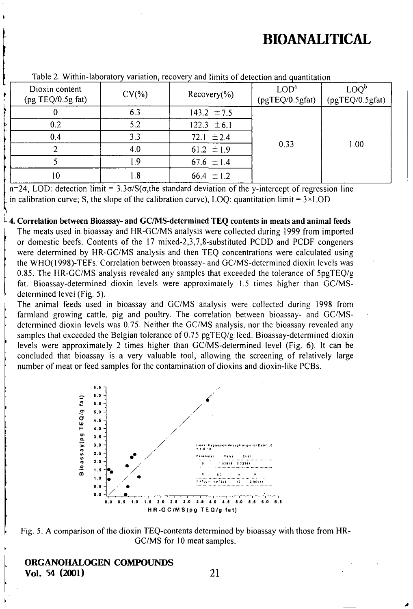| $140002$ . The main according $\gamma$ candidately, recovery and minimal or detection and quantitation |           |                          |                                     |                                   |  |
|--------------------------------------------------------------------------------------------------------|-----------|--------------------------|-------------------------------------|-----------------------------------|--|
| Dioxin content<br>(pg TEQ/0.5g fat)                                                                    | $CV(\% )$ | Recovery( <sub>0</sub> ) | LOD <sup>a</sup><br>(pgTEQ/0.5gfat) | $\text{LOQ}^b$<br>(pgTEQ/0.5gfat) |  |
|                                                                                                        | 6.3       | 143.2 $\pm 7.5$          |                                     |                                   |  |
| 0.2                                                                                                    | 5.2       | $122.3 \pm 6.1$          |                                     |                                   |  |
| 0.4                                                                                                    | 3.3       | $72.1 \pm 2.4$           |                                     |                                   |  |
|                                                                                                        | 4.0       | 61.2 $\pm 1.9$           | 0.33                                | 1.00                              |  |
|                                                                                                        | 1.9       | 67.6 $\pm$ 1.4           |                                     |                                   |  |
| 10                                                                                                     | 1.8       | 66.4 $\pm$ 1.2           |                                     |                                   |  |

Table 2. Within-laboratory variation, recovery and limits of detection and quantitation

 $n=24$ , LOD: detection limit = 3.3 $\sigma/S(\sigma)$ , the standard deviation of the y-intercept of regression line in calibration curve; S, the slope of the calibration curve), LOQ: quantitation limit =  $3 \times$ LOD

4. Correlation between Bioassay- and GC/MS-determined TEQ contents in meats and animal feeds

The meats used in bioassay and HR-GC/MS analysis were collected during 1999 from imported or domestic beefs. Contents of the 17 mixed-2,3,7,8-substituted PCDD and PCDF congeners were determined by HR-GC/MS analysis and then TEQ concentrations were calculated using the WHO(1998)-TEFs. Correlation between bioassay- and GC/MS-determined dioxin levels was 0.85. The HR-GC/MS analysis revealed any samples that exceeded the tolerance of  $5pqTEQ/g$ fat. Bioassay-determined dioxin levels were approximately 1.5 times higher than GC/MSdetermined level (Fig. 5).

The animal feeds used in bioassay and GC/MS analysis were collected during 1998 from farmland growing cattle, pig and poultry. The correlation between bioassay- and GC/MSdetermined dioxin levels was 0.75. Neither the GC/MS analysis, nor the bioassay revealed any samples that exceeded the Belgian tolerance of  $0.75$  pgTEQ/g feed. Bioassay-determined dioxin levels were approximately 2 times higher than GC/MS-determined level (Fig. 6). It can be concluded that bioassay is a very valuable tool, allowing the screening of relatively large number of meat or feed samples for the contamination of dioxins and dioxin-like PCBs.